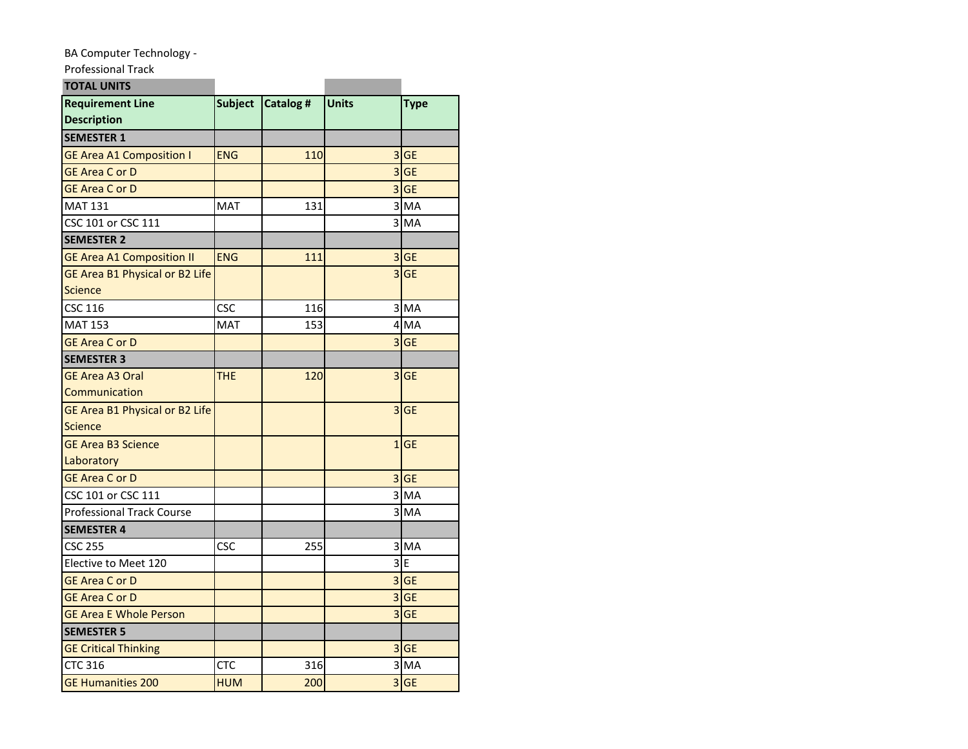## BA Computer Technology -

## Professional Track

| <b>TOTAL UNITS</b>                            |                |           |                |             |
|-----------------------------------------------|----------------|-----------|----------------|-------------|
| <b>Requirement Line</b><br><b>Description</b> | <b>Subject</b> | Catalog # | Units          | <b>Type</b> |
| <b>SEMESTER 1</b>                             |                |           |                |             |
| <b>GE Area A1 Composition I</b>               | <b>ENG</b>     | 110       |                | 3 GE        |
| <b>GE Area C or D</b>                         |                |           |                | $3$ GE      |
| <b>GE Area C or D</b>                         |                |           |                | 3 GE        |
| <b>MAT 131</b>                                | MAT            | 131       |                | 3 MA        |
| CSC 101 or CSC 111                            |                |           |                | 3 MA        |
| <b>SEMESTER 2</b>                             |                |           |                |             |
| <b>GE Area A1 Composition II</b>              | <b>ENG</b>     | 111       |                | 3 GE        |
| GE Area B1 Physical or B2 Life                |                |           |                | $3$ GE      |
| <b>Science</b>                                |                |           |                |             |
| <b>CSC 116</b>                                | CSC            | 116       |                | 3 MA        |
| <b>MAT 153</b>                                | <b>MAT</b>     | 153       |                | 4 MA        |
| <b>GE Area C or D</b>                         |                |           |                | $3$ GE      |
| <b>SEMESTER 3</b>                             |                |           |                |             |
| <b>GE Area A3 Oral</b>                        | THE.           | 120       |                | $3$ GE      |
| Communication                                 |                |           |                |             |
| GE Area B1 Physical or B2 Life                |                |           |                | $3$ GE      |
| Science                                       |                |           |                |             |
| <b>GE Area B3 Science</b>                     |                |           |                | 1 GE        |
| Laboratory                                    |                |           |                |             |
| <b>GE Area C or D</b>                         |                |           |                | 3 GE        |
| CSC 101 or CSC 111                            |                |           |                | 3 MA        |
| <b>Professional Track Course</b>              |                |           |                | 3 MA        |
| <b>SEMESTER 4</b>                             |                |           |                |             |
| <b>CSC 255</b>                                | CSC            | 255       |                | 3 MA        |
| Elective to Meet 120                          |                |           |                | 3E          |
| <b>GE Area C or D</b>                         |                |           |                | $3$ GE      |
| <b>GE Area C or D</b>                         |                |           | $\overline{3}$ | <b>GE</b>   |
| <b>GE Area E Whole Person</b>                 |                |           |                | $3$ GE      |
| <b>SEMESTER 5</b>                             |                |           |                |             |
| <b>GE Critical Thinking</b>                   |                |           |                | 3 GE        |
| <b>CTC 316</b>                                | CTC            | 316       |                | $3$ MA      |
| <b>GE Humanities 200</b>                      | <b>HUM</b>     | 200       |                | $3$ GE      |